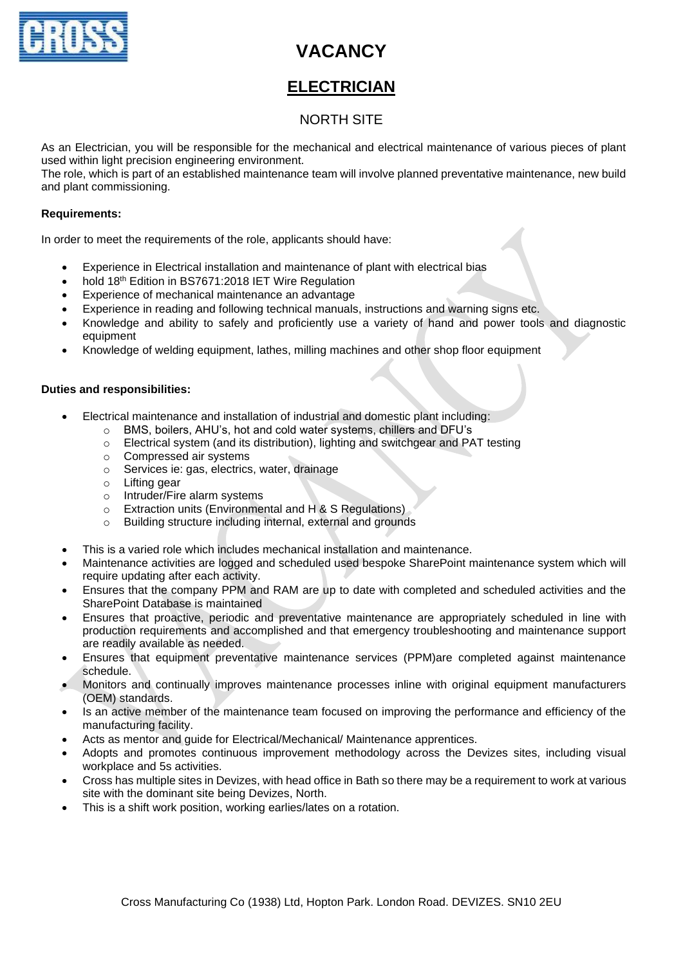

# **VACANCY**

### **ELECTRICIAN**

### NORTH SITE

As an Electrician, you will be responsible for the mechanical and electrical maintenance of various pieces of plant used within light precision engineering environment.

The role, which is part of an established maintenance team will involve planned preventative maintenance, new build and plant commissioning.

#### **Requirements:**

In order to meet the requirements of the role, applicants should have:

- Experience in Electrical installation and maintenance of plant with electrical bias
- hold 18th Edition in BS7671:2018 IET Wire Regulation
- Experience of mechanical maintenance an advantage
- Experience in reading and following technical manuals, instructions and warning signs etc.
- Knowledge and ability to safely and proficiently use a variety of hand and power tools and diagnostic equipment
- Knowledge of welding equipment, lathes, milling machines and other shop floor equipment

#### **Duties and responsibilities:**

- Electrical maintenance and installation of industrial and domestic plant including:
	- o BMS, boilers, AHU's, hot and cold water systems, chillers and DFU's
	- o Electrical system (and its distribution), lighting and switchgear and PAT testing
	- o Compressed air systems
	- o Services ie: gas, electrics, water, drainage
	- o Lifting gear
	- o Intruder/Fire alarm systems
	- o Extraction units (Environmental and H & S Regulations)
	- o Building structure including internal, external and grounds
- This is a varied role which includes mechanical installation and maintenance.
- Maintenance activities are logged and scheduled used bespoke SharePoint maintenance system which will require updating after each activity.
- Ensures that the company PPM and RAM are up to date with completed and scheduled activities and the SharePoint Database is maintained
- Ensures that proactive, periodic and preventative maintenance are appropriately scheduled in line with production requirements and accomplished and that emergency troubleshooting and maintenance support are readily available as needed.
- Ensures that equipment preventative maintenance services (PPM)are completed against maintenance schedule.
- Monitors and continually improves maintenance processes inline with original equipment manufacturers (OEM) standards.
- Is an active member of the maintenance team focused on improving the performance and efficiency of the manufacturing facility.
- Acts as mentor and guide for Electrical/Mechanical/ Maintenance apprentices.
- Adopts and promotes continuous improvement methodology across the Devizes sites, including visual workplace and 5s activities.
- Cross has multiple sites in Devizes, with head office in Bath so there may be a requirement to work at various site with the dominant site being Devizes, North.
- This is a shift work position, working earlies/lates on a rotation.